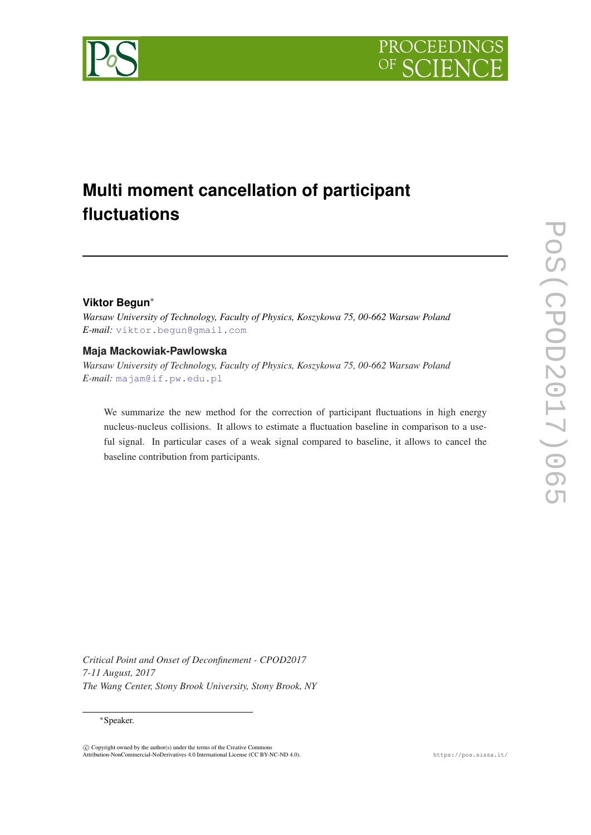



# **Multi moment cancellation of participant fluctuations**

## **Viktor Begun**<sup>∗</sup>

*Warsaw University of Technology, Faculty of Physics, Koszykowa 75, 00-662 Warsaw Poland E-mail:* [viktor.begun@gmail.com](mailto:viktor.begun@gmail.com)

#### **Maja Mackowiak-Pawlowska**

*Warsaw University of Technology, Faculty of Physics, Koszykowa 75, 00-662 Warsaw Poland E-mail:* [majam@if.pw.edu.pl](mailto:majam@if.pw.edu.pl)

We summarize the new method for the correction of participant fluctuations in high energy nucleus-nucleus collisions. It allows to estimate a fluctuation baseline in comparison to a useful signal. In particular cases of a weak signal compared to baseline, it allows to cancel the baseline contribution from participants.

*Critical Point and Onset of Deconfinement - CPOD2017 7-11 August, 2017 The Wang Center, Stony Brook University, Stony Brook, NY*

### <sup>∗</sup>Speaker.

 $\overline{c}$  Copyright owned by the author(s) under the terms of the Creative Common Attribution-NonCommercial-NoDerivatives 4.0 International License (CC BY-NC-ND 4.0). https://pos.sissa.it/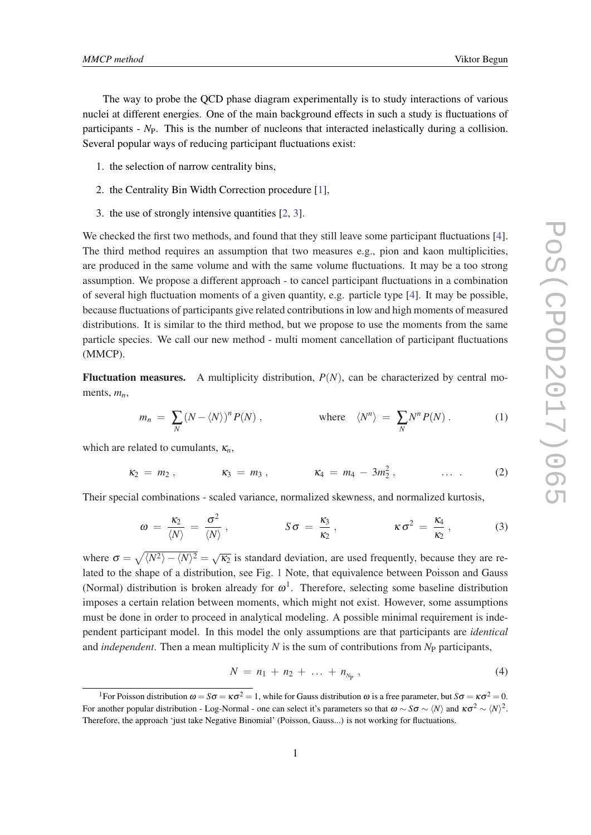The way to probe the QCD phase diagram experimentally is to study interactions of various nuclei at different energies. One of the main background effects in such a study is fluctuations of participants - *N*P. This is the number of nucleons that interacted inelastically during a collision. Several popular ways of reducing participant fluctuations exist:

- 1. the selection of narrow centrality bins,
- 2. the Centrality Bin Width Correction procedure [\[1\]](#page-5-0),
- 3. the use of strongly intensive quantities [[2](#page-5-0), [3\]](#page-5-0).

We checked the first two methods, and found that they still leave some participant fluctuations [\[4\]](#page-5-0). The third method requires an assumption that two measures e.g., pion and kaon multiplicities, are produced in the same volume and with the same volume fluctuations. It may be a too strong assumption. We propose a different approach - to cancel participant fluctuations in a combination of several high fluctuation moments of a given quantity, e.g. particle type [[4](#page-5-0)]. It may be possible, because fluctuations of participants give related contributions in low and high moments of measured distributions. It is similar to the third method, but we propose to use the moments from the same particle species. We call our new method - multi moment cancellation of participant fluctuations (MMCP).

**Fluctuation measures.** A multiplicity distribution,  $P(N)$ , can be characterized by central moments, *mn*,

$$
m_n = \sum_N (N - \langle N \rangle)^n P(N) , \qquad \text{where} \quad \langle N^n \rangle = \sum_N N^n P(N) . \qquad (1)
$$

which are related to cumulants, κ*n*,

$$
\kappa_2 = m_2, \qquad \kappa_3 = m_3, \qquad \kappa_4 = m_4 - 3m_2^2, \qquad \ldots \qquad (2)
$$

Their special combinations - scaled variance, normalized skewness, and normalized kurtosis,

$$
\omega = \frac{\kappa_2}{\langle N \rangle} = \frac{\sigma^2}{\langle N \rangle}, \qquad S\sigma = \frac{\kappa_3}{\kappa_2}, \qquad \kappa\sigma^2 = \frac{\kappa_4}{\kappa_2}, \qquad (3)
$$

where  $\sigma = \sqrt{\langle N^2 \rangle - \langle N \rangle^2} = \sqrt{\kappa_2}$  is standard deviation, are used frequently, because they are related to the shape of a distribution, see Fig. [1](#page-2-0) Note, that equivalence between Poisson and Gauss (Normal) distribution is broken already for  $\omega^1$ . Therefore, selecting some baseline distribution imposes a certain relation between moments, which might not exist. However, some assumptions must be done in order to proceed in analytical modeling. A possible minimal requirement is independent participant model. In this model the only assumptions are that participants are *identical* and *independent*. Then a mean multiplicity *N* is the sum of contributions from *N*<sub>P</sub> participants,

$$
N = n_1 + n_2 + \ldots + n_{N_{\rm P}}\,,\tag{4}
$$

<sup>&</sup>lt;sup>1</sup>For Poisson distribution  $\omega = S\sigma = \kappa \sigma^2 = 1$ , while for Gauss distribution  $\omega$  is a free parameter, but  $S\sigma = \kappa \sigma^2 = 0$ . For another popular distribution - Log-Normal - one can select it's parameters so that  $\omega \sim S\sigma \sim \langle N \rangle$  and  $\kappa \sigma^2 \sim \langle N \rangle^2$ . Therefore, the approach 'just take Negative Binomial' (Poisson, Gauss...) is not working for fluctuations.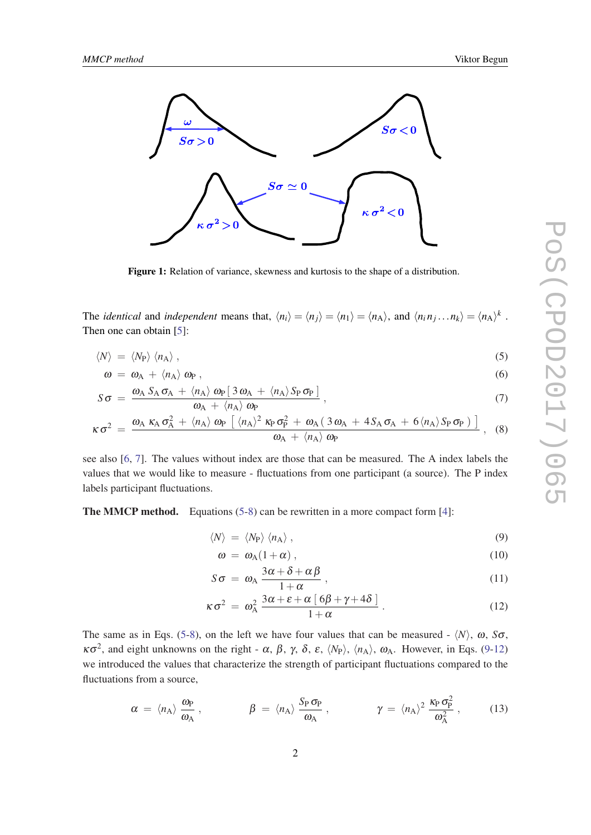<span id="page-2-0"></span>

Figure 1: Relation of variance, skewness and kurtosis to the shape of a distribution.

The *identical* and *independent* means that,  $\langle n_i \rangle = \langle n_j \rangle = \langle n_1 \rangle = \langle n_A \rangle$ , and  $\langle n_i n_j ... n_k \rangle = \langle n_A \rangle^k$ . Then one can obtain [\[5\]](#page-5-0):

$$
\langle N \rangle = \langle N_{\rm P} \rangle \langle n_{\rm A} \rangle \,, \tag{5}
$$

$$
\omega = \omega_{A} + \langle n_{A} \rangle \omega_{P}, \qquad (6)
$$

$$
S\,\sigma\,=\,\frac{\omega_{\rm A}\,S_{\rm A}\,\sigma_{\rm A}\,+\,\langle n_{\rm A}\rangle\,\omega_{\rm P}\,[\,3\,\omega_{\rm A}\,+\,\langle n_{\rm A}\rangle\,S_{\rm P}\,\sigma_{\rm P}\,]}{\omega_{\rm A}\,+\,\langle n_{\rm A}\rangle\,\omega_{\rm P}}\,,\tag{7}
$$

$$
\kappa \sigma^2 = \frac{\omega_A \kappa_A \sigma_A^2 + \langle n_A \rangle \omega_P \left[ \langle n_A \rangle^2 \kappa_P \sigma_P^2 + \omega_A (3 \omega_A + 4 S_A \sigma_A + 6 \langle n_A \rangle S_P \sigma_P) \right]}{\omega_A + \langle n_A \rangle \omega_P}, \quad (8)
$$

see also [[6](#page-5-0), [7\]](#page-5-0). The values without index are those that can be measured. The A index labels the values that we would like to measure - fluctuations from one participant (a source). The P index labels participant fluctuations.

The MMCP method. Equations (5-8) can be rewritten in a more compact form [[4](#page-5-0)]:

$$
\langle N \rangle = \langle N_{\rm P} \rangle \langle n_{\rm A} \rangle \,, \tag{9}
$$

$$
\omega = \omega_{A}(1+\alpha) , \qquad (10)
$$

$$
S\sigma = \omega_A \frac{3\alpha + \delta + \alpha\beta}{1 + \alpha} \,, \tag{11}
$$

$$
\kappa \sigma^2 = \omega_A^2 \frac{3\alpha + \varepsilon + \alpha \left[6\beta + \gamma + 4\delta\right]}{1 + \alpha} \,. \tag{12}
$$

The same as in Eqs. (5-8), on the left we have four values that can be measured -  $\langle N \rangle$ ,  $\omega$ ,  $S\sigma$ ,  $\kappa \sigma^2$ , and eight unknowns on the right -  $\alpha$ ,  $\beta$ ,  $\gamma$ ,  $\delta$ ,  $\varepsilon$ ,  $\langle N_P \rangle$ ,  $\langle n_A \rangle$ ,  $\omega_A$ . However, in Eqs. (9-12) we introduced the values that characterize the strength of participant fluctuations compared to the fluctuations from a source,

$$
\alpha = \langle n_A \rangle \frac{\omega_P}{\omega_A} , \qquad \beta = \langle n_A \rangle \frac{S_P \sigma_P}{\omega_A} , \qquad \gamma = \langle n_A \rangle^2 \frac{\kappa_P \sigma_P^2}{\omega_A^2} , \qquad (13)
$$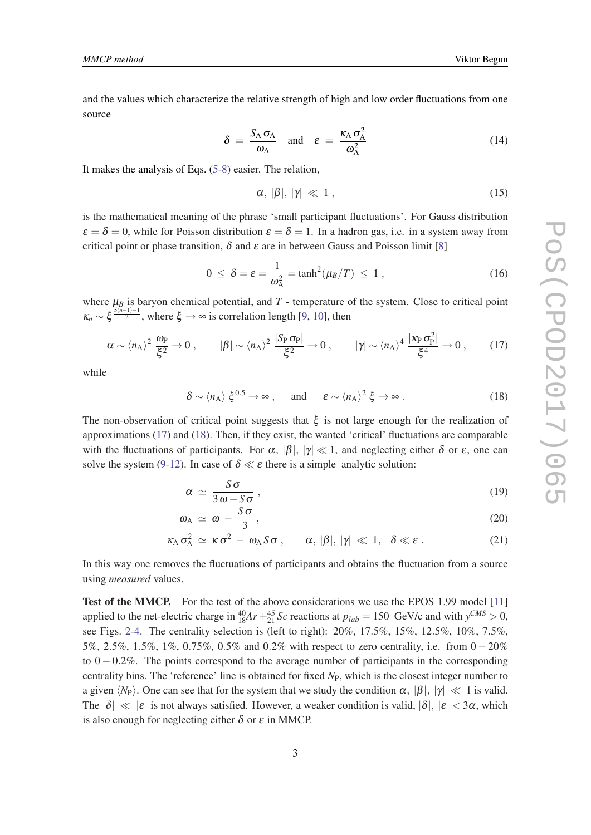and the values which characterize the relative strength of high and low order fluctuations from one source

$$
\delta = \frac{S_{A} \sigma_{A}}{\omega_{A}} \quad \text{and} \quad \varepsilon = \frac{\kappa_{A} \sigma_{A}^{2}}{\omega_{A}^{2}}
$$
 (14)

It makes the analysis of Eqs. [\(5-8\)](#page-2-0) easier. The relation,

$$
\alpha, \, |\beta|, \, |\gamma| \ll 1 \,, \tag{15}
$$

is the mathematical meaning of the phrase 'small participant fluctuations'. For Gauss distribution  $\varepsilon = \delta = 0$ , while for Poisson distribution  $\varepsilon = \delta = 1$ . In a hadron gas, i.e. in a system away from critical point or phase transition,  $\delta$  and  $\varepsilon$  are in between Gauss and Poisson limit [[8](#page-5-0)]

$$
0 \leq \delta = \varepsilon = \frac{1}{\omega_{\rm A}^2} = \tanh^2(\mu_B/T) \leq 1 \,, \tag{16}
$$

where  $\mu_B$  is baryon chemical potential, and  $T$  - temperature of the system. Close to critical point  $\kappa_n \sim \xi^{\frac{5(n-1)-1}{2}}$ , where  $\xi \to \infty$  is correlation length [\[9,](#page-5-0) [10\]](#page-5-0), then

$$
\alpha \sim \langle n_{A} \rangle^{2} \frac{\omega_{P}}{\xi^{2}} \to 0 , \qquad |\beta| \sim \langle n_{A} \rangle^{2} \frac{|S_{P} \sigma_{P}|}{\xi^{2}} \to 0 , \qquad |\gamma| \sim \langle n_{A} \rangle^{4} \frac{|\kappa_{P} \sigma_{P}^{2}|}{\xi^{4}} \to 0 , \qquad (17)
$$

while

$$
\delta \sim \langle n_{\rm A} \rangle \xi^{0.5} \to \infty \,, \quad \text{and} \quad \varepsilon \sim \langle n_{\rm A} \rangle^2 \xi \to \infty \,.
$$
 (18)

The non-observation of critical point suggests that  $\xi$  is not large enough for the realization of approximations (17) and (18). Then, if they exist, the wanted 'critical' fluctuations are comparable with the fluctuations of participants. For  $\alpha$ ,  $|\beta|$ ,  $|\gamma| \ll 1$ , and neglecting either  $\delta$  or  $\varepsilon$ , one can solve the system ([9](#page-2-0)-[12\)](#page-2-0). In case of  $\delta \ll \varepsilon$  there is a simple analytic solution:

$$
\alpha \simeq \frac{S\sigma}{3\omega - S\sigma},\tag{19}
$$

$$
\omega_{\rm A} \simeq \omega - \frac{5\,\sigma}{3} \,, \tag{20}
$$

$$
\kappa_A \sigma_A^2 \simeq \kappa \sigma^2 - \omega_A S \sigma \,, \qquad \alpha, |\beta|, |\gamma| \ll 1, \quad \delta \ll \varepsilon \,.
$$

In this way one removes the fluctuations of participants and obtains the fluctuation from a source using *measured* values.

Test of the MMCP. For the test of the above considerations we use the EPOS 1.99 model [\[11](#page-5-0)] applied to the net-electric charge in  $^{40}_{18}Ar +^{45}_{21}Sc$  reactions at  $p_{lab} = 150$  GeV/c and with  $y^{CMS} > 0$ , see Figs. [2-4.](#page-4-0) The centrality selection is (left to right): 20%, 17.5%, 15%, 12.5%, 10%, 7.5%, 5%, 2.5%, 1.5%, 1%, 0.75%, 0.5% and 0.2% with respect to zero centrality, i.e. from 0 − 20% to  $0 - 0.2\%$ . The points correspond to the average number of participants in the corresponding centrality bins. The 'reference' line is obtained for fixed *N*P, which is the closest integer number to a given  $\langle N_P \rangle$ . One can see that for the system that we study the condition  $\alpha$ ,  $|\beta|$ ,  $|\gamma| \ll 1$  is valid. The  $|\delta| \ll |\varepsilon|$  is not always satisfied. However, a weaker condition is valid,  $|\delta|, |\varepsilon| < 3\alpha$ , which is also enough for neglecting either  $\delta$  or  $\varepsilon$  in MMCP.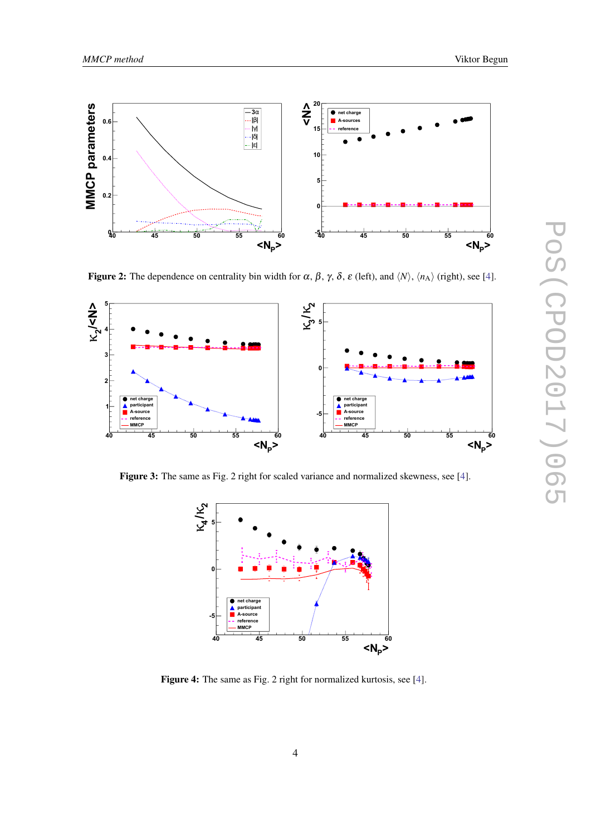<span id="page-4-0"></span>

Figure 2: The dependence on centrality bin width for  $\alpha$ ,  $\beta$ ,  $\gamma$ ,  $\delta$ ,  $\varepsilon$  (left), and  $\langle N \rangle$ ,  $\langle n_A \rangle$  (right), see [[4](#page-5-0)].



Figure 3: The same as Fig. 2 right for scaled variance and normalized skewness, see [[4\]](#page-5-0).



Figure 4: The same as Fig. 2 right for normalized kurtosis, see [\[4](#page-5-0)].